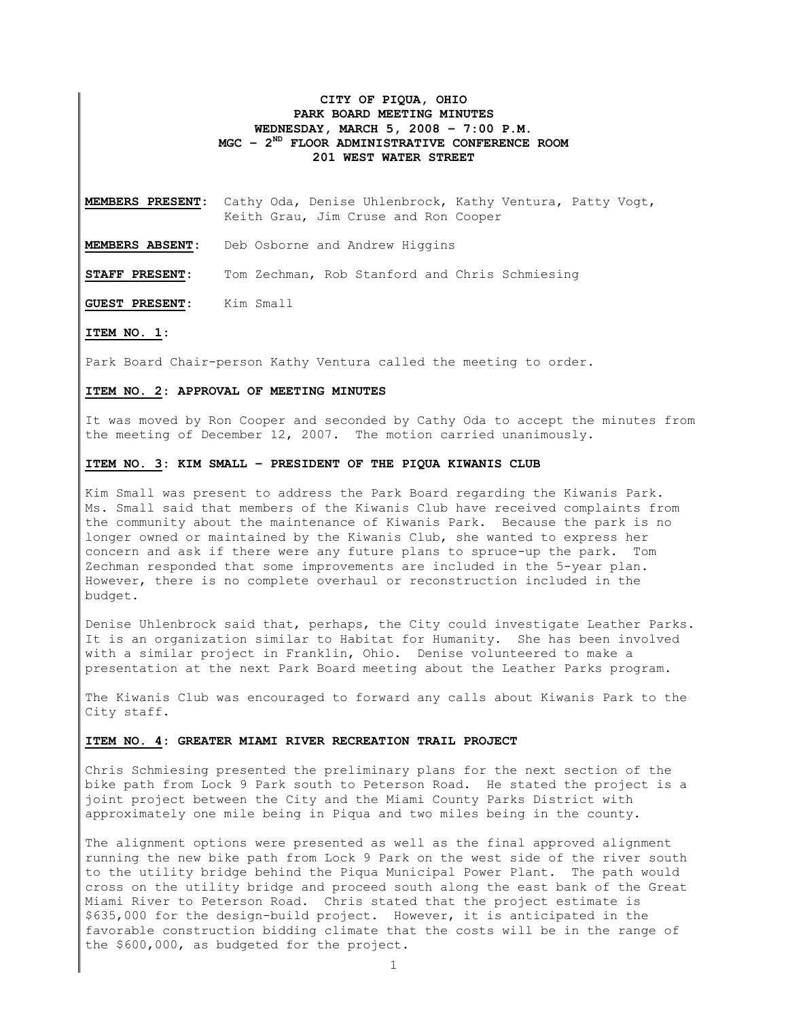## CITY OF PIQUA, OHIO PARK BOARD MEETING MINUTES WEDNESDAY, MARCH 5, 2008 – 7:00 P.M.  $MGC - 2<sup>ND</sup>$  FLOOR ADMINISTRATIVE CONFERENCE ROOM 201 WEST WATER STREET

MEMBERS PRESENT: Cathy Oda, Denise Uhlenbrock, Kathy Ventura, Patty Vogt, Keith Grau, Jim Cruse and Ron Cooper

MEMBERS ABSENT: Deb Osborne and Andrew Higgins

STAFF PRESENT: Tom Zechman, Rob Stanford and Chris Schmiesing

GUEST PRESENT: Kim Small

#### ITEM NO. 1:

Park Board Chair-person Kathy Ventura called the meeting to order.

#### ITEM NO. 2: APPROVAL OF MEETING MINUTES

It was moved by Ron Cooper and seconded by Cathy Oda to accept the minutes from the meeting of December 12, 2007. The motion carried unanimously.

## ITEM NO. 3: KIM SMALL – PRESIDENT OF THE PIQUA KIWANIS CLUB

Kim Small was present to address the Park Board regarding the Kiwanis Park. Ms. Small said that members of the Kiwanis Club have received complaints from the community about the maintenance of Kiwanis Park. Because the park is no longer owned or maintained by the Kiwanis Club, she wanted to express her concern and ask if there were any future plans to spruce-up the park. Tom Zechman responded that some improvements are included in the 5-year plan. However, there is no complete overhaul or reconstruction included in the budget.

Denise Uhlenbrock said that, perhaps, the City could investigate Leather Parks. It is an organization similar to Habitat for Humanity. She has been involved with a similar project in Franklin, Ohio. Denise volunteered to make a presentation at the next Park Board meeting about the Leather Parks program.

The Kiwanis Club was encouraged to forward any calls about Kiwanis Park to the City staff.

### ITEM NO. 4: GREATER MIAMI RIVER RECREATION TRAIL PROJECT

Chris Schmiesing presented the preliminary plans for the next section of the bike path from Lock 9 Park south to Peterson Road. He stated the project is a joint project between the City and the Miami County Parks District with approximately one mile being in Piqua and two miles being in the county.

The alignment options were presented as well as the final approved alignment running the new bike path from Lock 9 Park on the west side of the river south to the utility bridge behind the Piqua Municipal Power Plant. The path would cross on the utility bridge and proceed south along the east bank of the Great Miami River to Peterson Road. Chris stated that the project estimate is \$635,000 for the design-build project. However, it is anticipated in the favorable construction bidding climate that the costs will be in the range of the \$600,000, as budgeted for the project.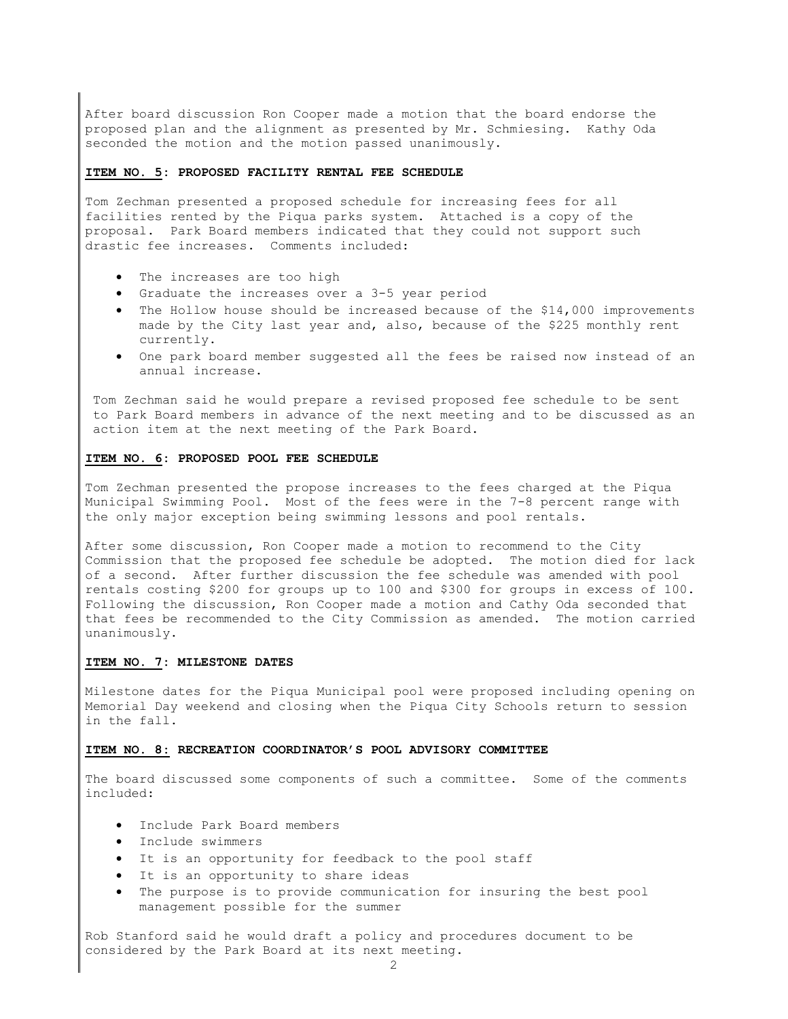After board discussion Ron Cooper made a motion that the board endorse the proposed plan and the alignment as presented by Mr. Schmiesing. Kathy Oda seconded the motion and the motion passed unanimously.

#### ITEM NO. 5: PROPOSED FACILITY RENTAL FEE SCHEDULE

Tom Zechman presented a proposed schedule for increasing fees for all facilities rented by the Piqua parks system. Attached is a copy of the proposal. Park Board members indicated that they could not support such drastic fee increases. Comments included:

- The increases are too high
- Graduate the increases over a 3-5 year period
- The Hollow house should be increased because of the \$14,000 improvements made by the City last year and, also, because of the \$225 monthly rent currently.
- One park board member suggested all the fees be raised now instead of an annual increase.

Tom Zechman said he would prepare a revised proposed fee schedule to be sent to Park Board members in advance of the next meeting and to be discussed as an action item at the next meeting of the Park Board.

#### ITEM NO. 6: PROPOSED POOL FEE SCHEDULE

Tom Zechman presented the propose increases to the fees charged at the Piqua Municipal Swimming Pool. Most of the fees were in the 7-8 percent range with the only major exception being swimming lessons and pool rentals.

After some discussion, Ron Cooper made a motion to recommend to the City Commission that the proposed fee schedule be adopted. The motion died for lack of a second. After further discussion the fee schedule was amended with pool rentals costing \$200 for groups up to 100 and \$300 for groups in excess of 100. Following the discussion, Ron Cooper made a motion and Cathy Oda seconded that that fees be recommended to the City Commission as amended. The motion carried unanimously.

#### ITEM NO. 7: MILESTONE DATES

Milestone dates for the Piqua Municipal pool were proposed including opening on Memorial Day weekend and closing when the Piqua City Schools return to session in the fall.

#### ITEM NO. 8: RECREATION COORDINATOR'S POOL ADVISORY COMMITTEE

The board discussed some components of such a committee. Some of the comments included:

- Include Park Board members
- Include swimmers
- It is an opportunity for feedback to the pool staff
- It is an opportunity to share ideas
- The purpose is to provide communication for insuring the best pool management possible for the summer

Rob Stanford said he would draft a policy and procedures document to be considered by the Park Board at its next meeting.